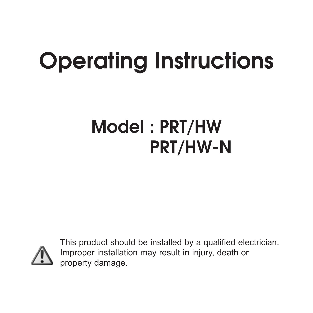# **Operating Instructions**

# **Model : PRT/HW PRT/HW-N**



This product should be installed by a qualified electrician. Improper installation may result in injury, death or property damage.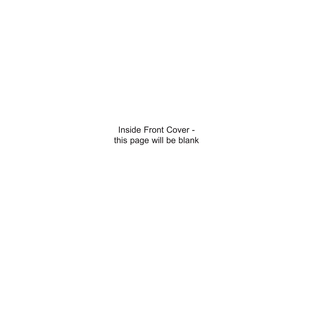Inside Front Cover this page will be blank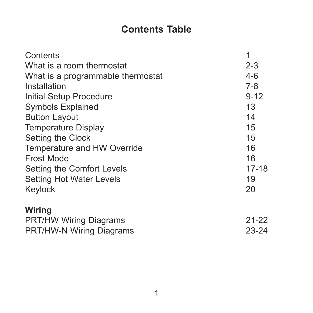# **Contents Table**

| Contents                          | 1         |
|-----------------------------------|-----------|
| What is a room thermostat         | $2 - 3$   |
| What is a programmable thermostat | $4-6$     |
| Installation                      | $7 - 8$   |
| Initial Setup Procedure           | $9 - 12$  |
| <b>Symbols Explained</b>          | 13        |
| <b>Button Layout</b>              | 14        |
| <b>Temperature Display</b>        | 15        |
| Setting the Clock                 | 15        |
| Temperature and HW Override       | 16        |
| Frost Mode                        | 16        |
| Setting the Comfort Levels        | $17 - 18$ |
| <b>Setting Hot Water Levels</b>   | 19        |
| Keylock                           | 20        |
| Wiring                            |           |
| <b>PRT/HW Wiring Diagrams</b>     | $21 - 22$ |
| PRT/HW-N Wiring Diagrams          | $23 - 24$ |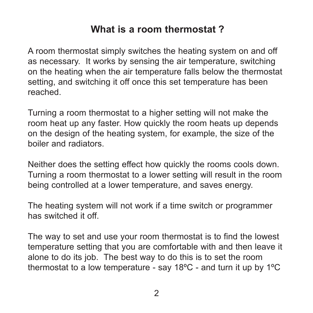#### **What is a room thermostat ?**

A room thermostat simply switches the heating system on and off as necessary. It works by sensing the air temperature, switching on the heating when the air temperature falls below the thermostat setting, and switching it off once this set temperature has been reached.

Turning a room thermostat to a higher setting will not make the room heat up any faster. How quickly the room heats up depends on the design of the heating system, for example, the size of the boiler and radiators.

Neither does the setting effect how quickly the rooms cools down. Turning a room thermostat to a lower setting will result in the room being controlled at a lower temperature, and saves energy.

The heating system will not work if a time switch or programmer has switched it off

The way to set and use your room thermostat is to find the lowest temperature setting that you are comfortable with and then leave it alone to do its job. The best way to do this is to set the room thermostat to a low temperature - say 18ºC - and turn it up by 1ºC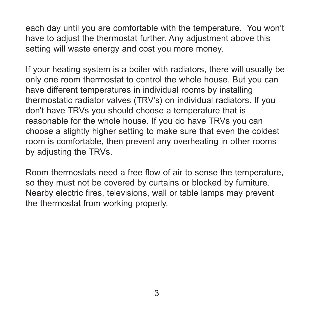each day until you are comfortable with the temperature. You won't have to adjust the thermostat further. Any adjustment above this setting will waste energy and cost you more money.

If your heating system is a boiler with radiators, there will usually be only one room thermostat to control the whole house. But you can have different temperatures in individual rooms by installing thermostatic radiator valves (TRV's) on individual radiators. If you don't have TRVs you should choose a temperature that is reasonable for the whole house. If you do have TRVs you can choose a slightly higher setting to make sure that even the coldest room is comfortable, then prevent any overheating in other rooms by adjusting the TRVs.

Room thermostats need a free flow of air to sense the temperature, so they must not be covered by curtains or blocked by furniture. Nearby electric fires, televisions, wall or table lamps may prevent the thermostat from working properly.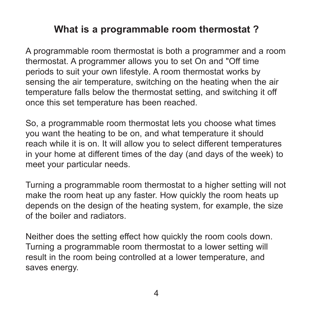# **What is a programmable room thermostat ?**

A programmable room thermostat is both a programmer and a room thermostat. A programmer allows you to set On and "Off time periods to suit your own lifestyle. A room thermostat works by sensing the air temperature, switching on the heating when the air temperature falls below the thermostat setting, and switching it off once this set temperature has been reached.

So, a programmable room thermostat lets you choose what times you want the heating to be on, and what temperature it should reach while it is on. It will allow you to select different temperatures in your home at different times of the day (and days of the week) to meet your particular needs.

Turning a programmable room thermostat to a higher setting will not make the room heat up any faster. How quickly the room heats up depends on the design of the heating system, for example, the size of the boiler and radiators.

Neither does the setting effect how quickly the room cools down. Turning a programmable room thermostat to a lower setting will result in the room being controlled at a lower temperature, and saves energy.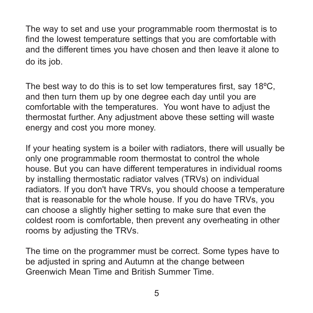The way to set and use your programmable room thermostat is to find the lowest temperature settings that you are comfortable with and the different times you have chosen and then leave it alone to do its job.

The best way to do this is to set low temperatures first, say 18ºC, and then turn them up by one degree each day until you are comfortable with the temperatures. You wont have to adjust the thermostat further. Any adjustment above these setting will waste energy and cost you more money.

If your heating system is a boiler with radiators, there will usually be only one programmable room thermostat to control the whole house. But you can have different temperatures in individual rooms by installing thermostatic radiator valves (TRVs) on individual radiators. If you don't have TRVs, you should choose a temperature that is reasonable for the whole house. If you do have TRVs, you can choose a slightly higher setting to make sure that even the coldest room is comfortable, then prevent any overheating in other rooms by adjusting the TRVs.

The time on the programmer must be correct. Some types have to be adjusted in spring and Autumn at the change between Greenwich Mean Time and British Summer Time.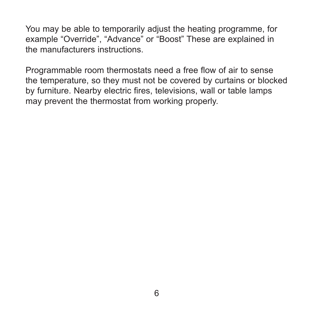You may be able to temporarily adjust the heating programme, for example "Override", "Advance" or "Boost" These are explained in the manufacturers instructions.

Programmable room thermostats need a free flow of air to sense the temperature, so they must not be covered by curtains or blocked by furniture. Nearby electric fires, televisions, wall or table lamps may prevent the thermostat from working properly.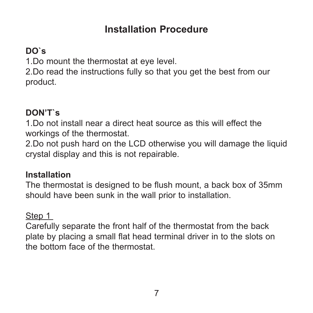#### **Installation Procedure**

#### **DO`s**

1.Do mount the thermostat at eye level.

2.Do read the instructions fully so that you get the best from our product.

#### **DON'T`s**

1.Do not install near a direct heat source as this will effect the workings of the thermostat.

2.Do not push hard on the LCD otherwise you will damage the liquid crystal display and this is not repairable.

#### **Installation**

The thermostat is designed to be flush mount, a back box of 35mm should have been sunk in the wall prior to installation.

#### Step 1

Carefully separate the front half of the thermostat from the back plate by placing a small flat head terminal driver in to the slots on the bottom face of the thermostat.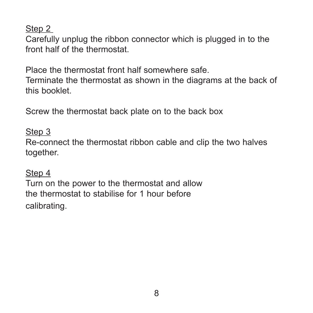Step 2

Carefully unplug the ribbon connector which is plugged in to the front half of the thermostat.

Place the thermostat front half somewhere safe.

Terminate the thermostat as shown in the diagrams at the back of this booklet.

Screw the thermostat back plate on to the back box

Step 3

Re-connect the thermostat ribbon cable and clip the two halves together.

Step 4

Turn on the power to the thermostat and allow the thermostat to stabilise for 1 hour before calibrating.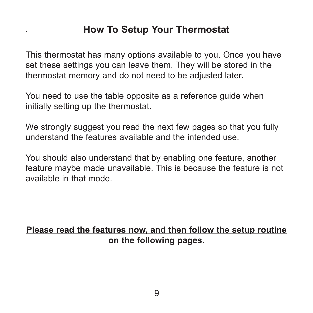#### **How To Setup Your Thermostat**

.

This thermostat has many options available to you. Once you have set these settings you can leave them. They will be stored in the thermostat memory and do not need to be adjusted later.

You need to use the table opposite as a reference guide when initially setting up the thermostat.

We strongly suggest you read the next few pages so that you fully understand the features available and the intended use.

You should also understand that by enabling one feature, another feature maybe made unavailable. This is because the feature is not available in that mode.

#### **Please read the features now, and then follow the setup routine on the following pages.**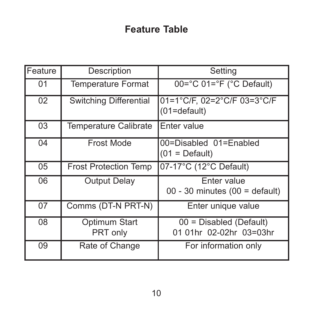# **Feature Table**

| Feature | Description                   | Setting                                              |
|---------|-------------------------------|------------------------------------------------------|
| 01      | <b>Temperature Format</b>     | 00=°C 01=°F (°C Default)                             |
| 02      | <b>Switching Differential</b> | 01=1°C/F, 02=2°C/F 03=3°C/F<br>$(01=default)$        |
| 03      | Temperature Calibrate         | Enter value                                          |
| 04      | Frost Mode                    | 00=Disabled 01=Enabled<br>$(01 = Default)$           |
| 05      | <b>Frost Protection Temp</b>  | 07-17°C (12°C Default)                               |
| 06      | <b>Output Delay</b>           | Enter value<br>$00 - 30$ minutes (00 = default)      |
| 07      | Comms (DT-N PRT-N)            | Enter unique value                                   |
| 08      | Optimum Start<br>PRT only     | $00 = Disabled$ (Default)<br>01 01hr 02-02hr 03=03hr |
| 09      | Rate of Change                | For information only                                 |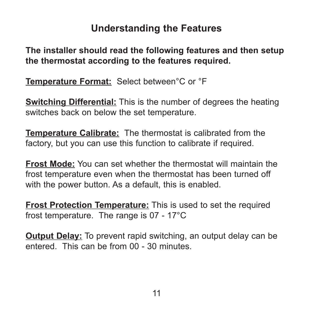#### **Understanding the Features**

**The installer should read the following features and then setup the thermostat according to the features required.** 

**Temperature Format:** Select between°C or °F

**Switching Differential:** This is the number of degrees the heating switches back on below the set temperature.

**Temperature Calibrate:** The thermostat is calibrated from the factory, but you can use this function to calibrate if required.

**Frost Mode:** You can set whether the thermostat will maintain the frost temperature even when the thermostat has been turned off with the power button. As a default, this is enabled.

**Frost Protection Temperature:** This is used to set the required frost temperature. The range is 07 - 17°C

**Output Delay:** To prevent rapid switching, an output delay can be entered. This can be from 00 - 30 minutes.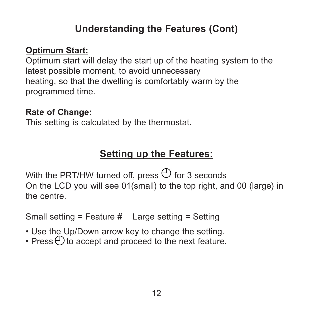## **Understanding the Features (Cont)**

#### **Optimum Start:**

Optimum start will delay the start up of the heating system to the latest possible moment, to avoid unnecessary heating, so that the dwelling is comfortably warm by the programmed time.

#### **Rate of Change:**

This setting is calculated by the thermostat.

# **Setting up the Features:**

With the PRT/HW turned off, press  $\bigoplus$  for 3 seconds On the LCD you will see 01(small) to the top right, and 00 (large) in the centre.

Small setting = Feature # Large setting = Setting

- Use the Up/Down arrow key to change the setting.
- $\cdot$  Press  $\bigcirc$  to accept and proceed to the next feature.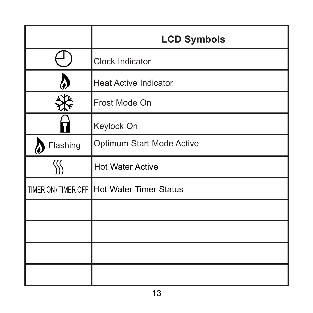|                    | <b>LCD Symbols</b>           |  |
|--------------------|------------------------------|--|
|                    | Clock Indicator              |  |
|                    | <b>Heat Active Indicator</b> |  |
|                    | Frost Mode On                |  |
|                    | Keylock On                   |  |
| Flashing           | Optimum Start Mode Active    |  |
|                    | <b>Hot Water Active</b>      |  |
| TIMER ON/TIMER OFF | Hot Water Timer Status       |  |
|                    |                              |  |
|                    |                              |  |
|                    |                              |  |
|                    |                              |  |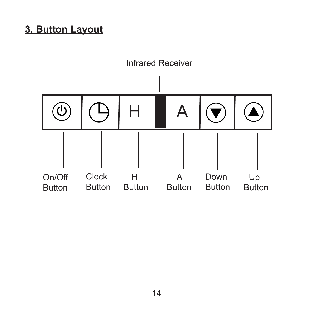#### **3. Button Layout**

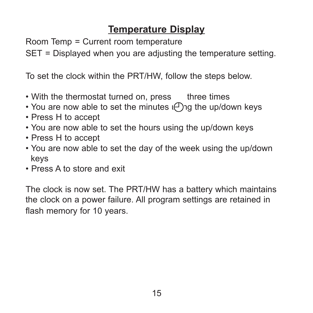## **Temperature Display**

Room Temp = Current room temperature

SET = Displayed when you are adjusting the temperature setting.

To set the clock within the PRT/HW, follow the steps below.

- With the thermostat turned on, press three times
- You are now able to set the minutes  $\binom{n}{1}$  the up/down keys
- Press H to accept
- You are now able to set the hours using the up/down keys
- Press H to accept
- You are now able to set the day of the week using the up/down keys
- Press A to store and exit

The clock is now set. The PRT/HW has a battery which maintains the clock on a power failure. All program settings are retained in flash memory for 10 years.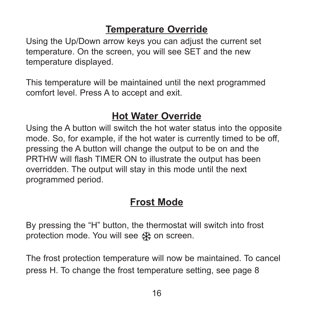## **Temperature Override**

Using the Up/Down arrow keys you can adjust the current set temperature. On the screen, you will see SET and the new temperature displayed.

This temperature will be maintained until the next programmed comfort level. Press A to accept and exit.

## **Hot Water Override**

Using the A button will switch the hot water status into the opposite mode. So, for example, if the hot water is currently timed to be off, pressing the A button will change the output to be on and the PRTHW will flash TIMER ON to illustrate the output has been overridden. The output will stay in this mode until the next programmed period.

## **Frost Mode**

By pressing the "H" button, the thermostat will switch into frost protection mode. You will see « year screen.

The frost protection temperature will now be maintained. To cancel press H. To change the frost temperature setting, see page 8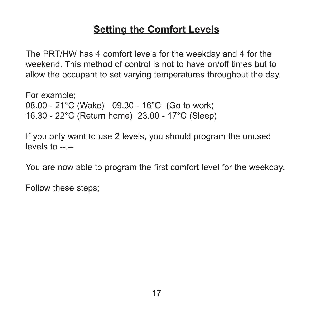#### **Setting the Comfort Levels**

The PRT/HW has 4 comfort levels for the weekday and 4 for the weekend. This method of control is not to have on/off times but to allow the occupant to set varying temperatures throughout the day.

For example; 08.00 - 21°C (Wake) 09.30 - 16°C (Go to work) 16.30 - 22°C (Return home) 23.00 - 17°C (Sleep)

If you only want to use 2 levels, you should program the unused levels to  $-$ 

You are now able to program the first comfort level for the weekday.

Follow these steps;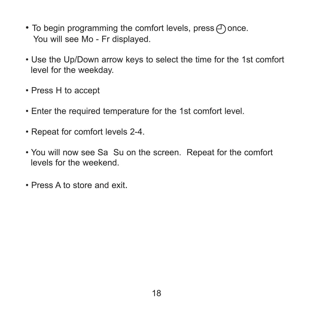- To begin programming the comfort levels, press  $\bigcap$  once. You will see Mo - Fr displayed.
- Use the Up/Down arrow keys to select the time for the 1st comfort level for the weekday.
- Press H to accept
- Enter the required temperature for the 1st comfort level.
- Repeat for comfort levels 2-4.
- You will now see Sa Su on the screen. Repeat for the comfort levels for the weekend.
- Press A to store and exit.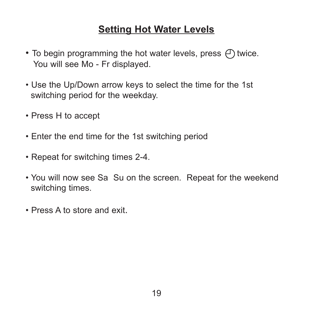#### **Setting Hot Water Levels**

- To begin programming the hot water levels, press  $\bigoplus$  twice. You will see Mo - Fr displayed.
- Use the Up/Down arrow keys to select the time for the 1st switching period for the weekday.
- Press H to accept
- Enter the end time for the 1st switching period
- Repeat for switching times 2-4.
- You will now see Sa Su on the screen. Repeat for the weekend switching times.
- Press A to store and exit.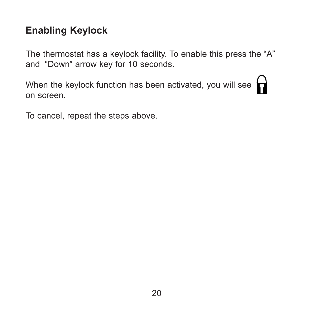## **Enabling Keylock**

The thermostat has a keylock facility. To enable this press the "A" and "Down" arrow key for 10 seconds.

When the keylock function has been activated, you will see on screen.

To cancel, repeat the steps above.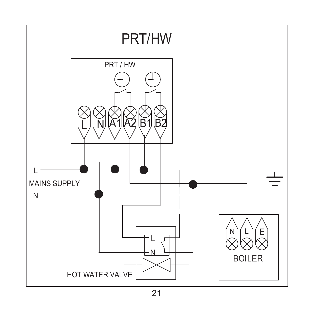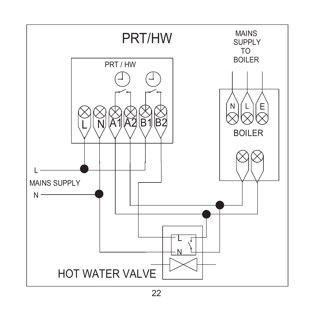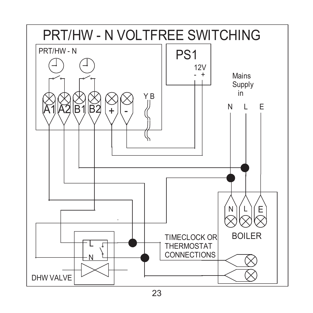

23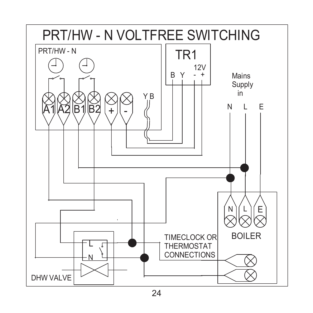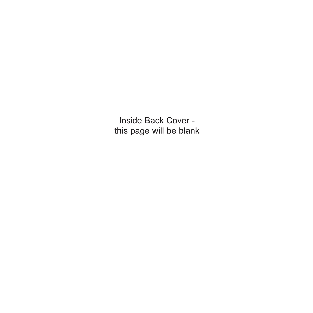Inside Back Cover this page will be blank